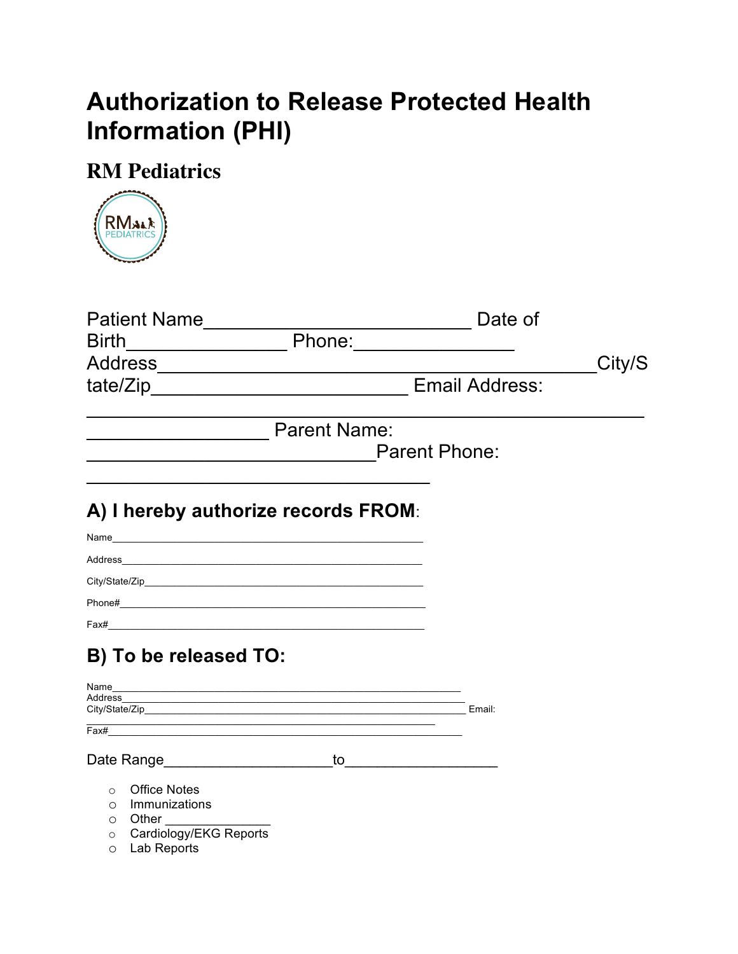## **Authorization to Release Protected Health Information (PHI)**

## **RM Pediatrics**



| <b>Birth</b>                                        |                                                                                                                                                                                                                                                                                                                       |                     | Date of<br>Phone: 2000 |        |
|-----------------------------------------------------|-----------------------------------------------------------------------------------------------------------------------------------------------------------------------------------------------------------------------------------------------------------------------------------------------------------------------|---------------------|------------------------|--------|
|                                                     |                                                                                                                                                                                                                                                                                                                       |                     |                        | City/S |
|                                                     |                                                                                                                                                                                                                                                                                                                       |                     | <b>Email Address:</b>  |        |
|                                                     |                                                                                                                                                                                                                                                                                                                       | <b>Parent Name:</b> |                        |        |
|                                                     |                                                                                                                                                                                                                                                                                                                       |                     | <b>Parent Phone:</b>   |        |
|                                                     | A) I hereby authorize records FROM:                                                                                                                                                                                                                                                                                   |                     |                        |        |
| Name                                                |                                                                                                                                                                                                                                                                                                                       |                     |                        |        |
|                                                     |                                                                                                                                                                                                                                                                                                                       |                     |                        |        |
|                                                     |                                                                                                                                                                                                                                                                                                                       |                     |                        |        |
|                                                     |                                                                                                                                                                                                                                                                                                                       |                     |                        |        |
|                                                     |                                                                                                                                                                                                                                                                                                                       |                     |                        |        |
|                                                     | B) To be released TO:                                                                                                                                                                                                                                                                                                 |                     |                        |        |
| Name                                                | Address                                                                                                                                                                                                                                                                                                               |                     |                        |        |
|                                                     |                                                                                                                                                                                                                                                                                                                       |                     |                        |        |
| Fax#                                                |                                                                                                                                                                                                                                                                                                                       |                     |                        |        |
| Date Range <b>Date Range</b>                        |                                                                                                                                                                                                                                                                                                                       | to                  |                        |        |
| $\circ$<br>$\circ$<br>$\circ$<br>$\circ$<br>$\circ$ | <b>Office Notes</b><br>Immunizations<br>Other <b>Communist Communist Communist Communist Communist Communist Communist Communist Communist Communist Communist Communist Communist Communist Communist Communist Communist Communist Communist Communist Communist Commu</b><br>Cardiology/EKG Reports<br>Lab Reports |                     |                        |        |